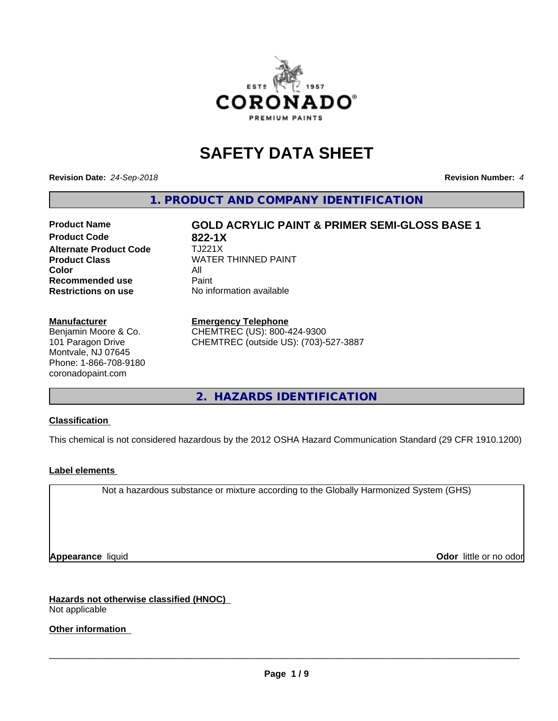

# **SAFETY DATA SHEET**

**Revision Date:** *24-Sep-2018* **Revision Number:** *4*

**1. PRODUCT AND COMPANY IDENTIFICATION**

# **Product Name GOLD ACRYLIC PAINT & PRIMER SEMI-GLOSS BASE 1**

**Product Code 622-1X**<br>**Alternate Product Code** 6 TJ221X **Alternate Product Code Color** All All<br>**Recommended use** Paint **Recommended use Restrictions on use** No information available

**Product Class WATER THINNED PAINT** 

#### **Manufacturer**

Benjamin Moore & Co. 101 Paragon Drive Montvale, NJ 07645 Phone: 1-866-708-9180 coronadopaint.com

#### **Emergency Telephone**

CHEMTREC (US): 800-424-9300 CHEMTREC (outside US): (703)-527-3887

**2. HAZARDS IDENTIFICATION**

#### **Classification**

This chemical is not considered hazardous by the 2012 OSHA Hazard Communication Standard (29 CFR 1910.1200)

### **Label elements**

Not a hazardous substance or mixture according to the Globally Harmonized System (GHS)

**Appearance** liquid **Contract Contract Contract Contract Contract Contract Contract Contract Contract Contract Contract Contract Contract Contract Contract Contract Contract Contract Contract Contract Contract Contract Con** 

**Hazards not otherwise classified (HNOC)** Not applicable

**Other information**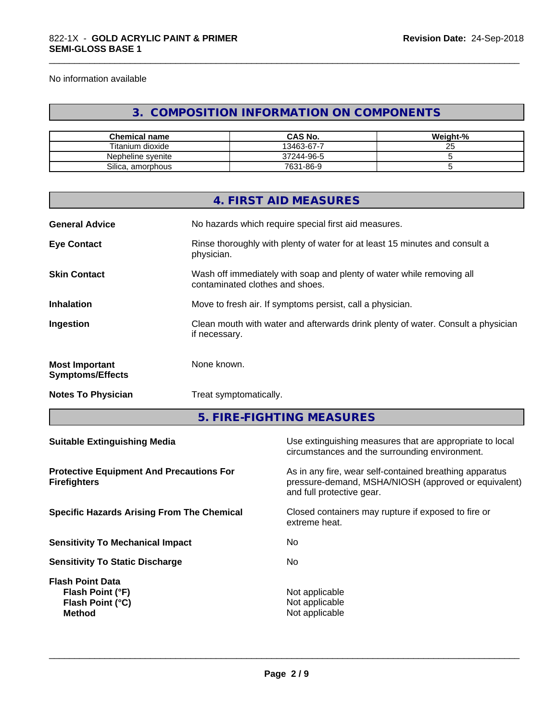No information available

# **3. COMPOSITION INFORMATION ON COMPONENTS**

\_\_\_\_\_\_\_\_\_\_\_\_\_\_\_\_\_\_\_\_\_\_\_\_\_\_\_\_\_\_\_\_\_\_\_\_\_\_\_\_\_\_\_\_\_\_\_\_\_\_\_\_\_\_\_\_\_\_\_\_\_\_\_\_\_\_\_\_\_\_\_\_\_\_\_\_\_\_\_\_\_\_\_\_\_\_\_\_\_\_\_\_\_

| <b>Chemical name</b>  | CAS No.    | Weight-% |
|-----------------------|------------|----------|
| Titanium dioxide      | 13463-67-7 | Δu       |
| Nepheline svenite     | 37244-96-5 |          |
| Silica<br>. amorphous | 7631-86-9  |          |

|                                                                                                                             |                        | 4. FIRST AID MEASURES                                                                                                                        |  |  |
|-----------------------------------------------------------------------------------------------------------------------------|------------------------|----------------------------------------------------------------------------------------------------------------------------------------------|--|--|
| <b>General Advice</b>                                                                                                       |                        | No hazards which require special first aid measures.                                                                                         |  |  |
| <b>Eye Contact</b>                                                                                                          | physician.             | Rinse thoroughly with plenty of water for at least 15 minutes and consult a                                                                  |  |  |
| <b>Skin Contact</b>                                                                                                         |                        | Wash off immediately with soap and plenty of water while removing all<br>contaminated clothes and shoes.                                     |  |  |
| <b>Inhalation</b>                                                                                                           |                        | Move to fresh air. If symptoms persist, call a physician.                                                                                    |  |  |
| Ingestion                                                                                                                   | if necessary.          | Clean mouth with water and afterwards drink plenty of water. Consult a physician                                                             |  |  |
| <b>Most Important</b><br><b>Symptoms/Effects</b>                                                                            | None known.            |                                                                                                                                              |  |  |
| <b>Notes To Physician</b>                                                                                                   | Treat symptomatically. |                                                                                                                                              |  |  |
|                                                                                                                             |                        | 5. FIRE-FIGHTING MEASURES                                                                                                                    |  |  |
| <b>Suitable Extinguishing Media</b>                                                                                         |                        | Use extinguishing measures that are appropriate to local<br>circumstances and the surrounding environment.                                   |  |  |
| <b>Protective Equipment And Precautions For</b><br><b>Firefighters</b><br><b>Specific Hazards Arising From The Chemical</b> |                        | As in any fire, wear self-contained breathing apparatus<br>pressure-demand, MSHA/NIOSH (approved or equivalent)<br>and full protective gear. |  |  |
|                                                                                                                             |                        | Closed containers may rupture if exposed to fire or<br>extreme heat.                                                                         |  |  |
|                                                                                                                             |                        |                                                                                                                                              |  |  |

**Sensitivity To Mechanical Impact** No **Sensitivity To Static Discharge** No **Flash Point Data Flash Point (°F)**<br> **Flash Point (°C)**<br> **Flash Point (°C)**<br> **CO Flash Point (°C) Method** Not applicable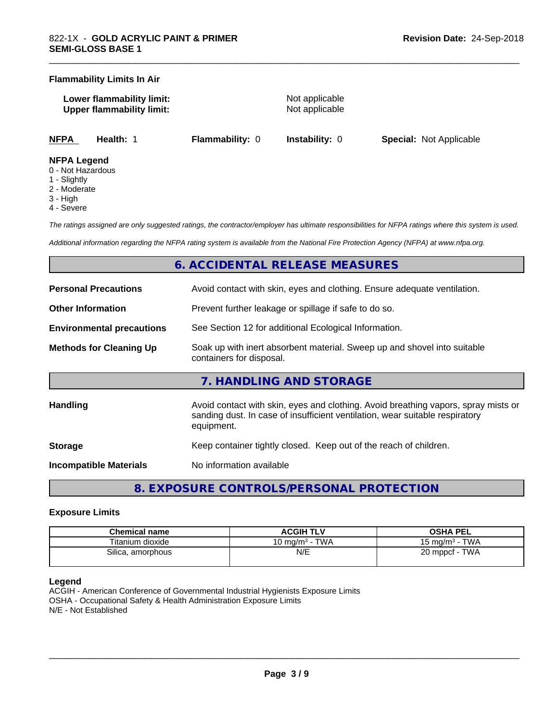#### **Flammability Limits In Air**

| Lower flammability limit:        |  |
|----------------------------------|--|
| <b>Upper flammability limit:</b> |  |

**Not applicable Not applicable** 

\_\_\_\_\_\_\_\_\_\_\_\_\_\_\_\_\_\_\_\_\_\_\_\_\_\_\_\_\_\_\_\_\_\_\_\_\_\_\_\_\_\_\_\_\_\_\_\_\_\_\_\_\_\_\_\_\_\_\_\_\_\_\_\_\_\_\_\_\_\_\_\_\_\_\_\_\_\_\_\_\_\_\_\_\_\_\_\_\_\_\_\_\_

**NFPA Health:** 1 **Flammability:** 0 **Instability:** 0 **Special:** Not Applicable

#### **NFPA Legend**

- 0 Not Hazardous
- 1 Slightly
- 2 Moderate
- 3 High
- 4 Severe

*The ratings assigned are only suggested ratings, the contractor/employer has ultimate responsibilities for NFPA ratings where this system is used.*

*Additional information regarding the NFPA rating system is available from the National Fire Protection Agency (NFPA) at www.nfpa.org.*

# **6. ACCIDENTAL RELEASE MEASURES**

| <b>Personal Precautions</b>      | Avoid contact with skin, eyes and clothing. Ensure adequate ventilation.                                                                                                         |  |  |
|----------------------------------|----------------------------------------------------------------------------------------------------------------------------------------------------------------------------------|--|--|
| <b>Other Information</b>         | Prevent further leakage or spillage if safe to do so.                                                                                                                            |  |  |
| <b>Environmental precautions</b> | See Section 12 for additional Ecological Information.                                                                                                                            |  |  |
| <b>Methods for Cleaning Up</b>   | Soak up with inert absorbent material. Sweep up and shovel into suitable<br>containers for disposal.                                                                             |  |  |
|                                  | 7. HANDLING AND STORAGE                                                                                                                                                          |  |  |
| <b>Handling</b>                  | Avoid contact with skin, eyes and clothing. Avoid breathing vapors, spray mists or<br>sanding dust. In case of insufficient ventilation, wear suitable respiratory<br>equipment. |  |  |
| <b>Storage</b>                   | Keep container tightly closed. Keep out of the reach of children.                                                                                                                |  |  |
| Incompatible Materials           | No information available                                                                                                                                                         |  |  |

**8. EXPOSURE CONTROLS/PERSONAL PROTECTION**

#### **Exposure Limits**

| <b>Chemical name</b> | <b>ACGIH TLV</b>                     | OSHA PEL                            |
|----------------------|--------------------------------------|-------------------------------------|
| Titanium dioxide     | <b>TWA</b><br>10 mg/m <sup>3</sup> - | <b>TWA</b><br>$15 \text{ ma/m}^3$ - |
| Silica, amorphous    | N/E                                  | <b>TWA</b><br>$20$ mppcf -          |

#### **Legend**

ACGIH - American Conference of Governmental Industrial Hygienists Exposure Limits OSHA - Occupational Safety & Health Administration Exposure Limits N/E - Not Established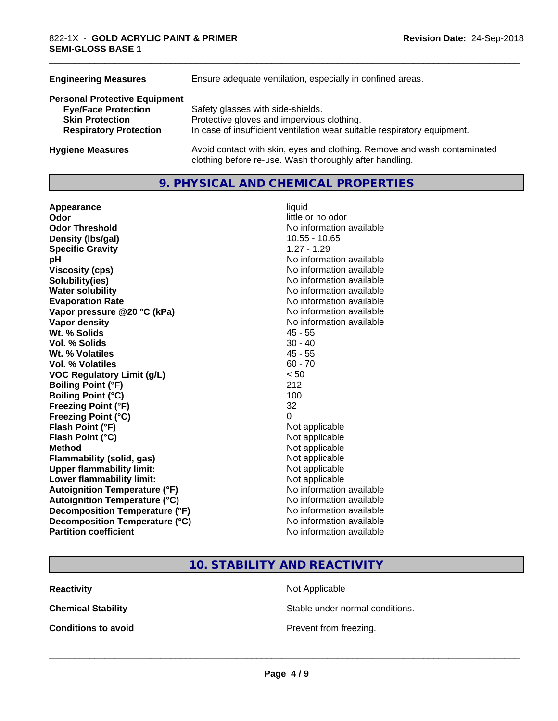| <b>Engineering Measures</b>                                                           | Ensure adequate ventilation, especially in confined areas.                                                                                                  |  |
|---------------------------------------------------------------------------------------|-------------------------------------------------------------------------------------------------------------------------------------------------------------|--|
| <b>Personal Protective Equipment</b>                                                  |                                                                                                                                                             |  |
| <b>Eye/Face Protection</b><br><b>Skin Protection</b><br><b>Respiratory Protection</b> | Safety glasses with side-shields.<br>Protective gloves and impervious clothing.<br>In case of insufficient ventilation wear suitable respiratory equipment. |  |
| <b>Hygiene Measures</b>                                                               | Avoid contact with skin, eyes and clothing. Remove and wash contaminated<br>clothing before re-use. Wash thoroughly after handling.                         |  |

# **9. PHYSICAL AND CHEMICAL PROPERTIES**

| Appearance                           | liquid                   |
|--------------------------------------|--------------------------|
| Odor                                 | little or no odor        |
| <b>Odor Threshold</b>                | No information available |
| Density (Ibs/gal)                    | $10.55 - 10.65$          |
| <b>Specific Gravity</b>              | $1.27 - 1.29$            |
| рH                                   | No information available |
| <b>Viscosity (cps)</b>               | No information available |
| Solubility(ies)                      | No information available |
| <b>Water solubility</b>              | No information available |
| <b>Evaporation Rate</b>              | No information available |
| Vapor pressure @20 °C (kPa)          | No information available |
| <b>Vapor density</b>                 | No information available |
| Wt. % Solids                         | $45 - 55$                |
| <b>Vol. % Solids</b>                 | $30 - 40$                |
| Wt. % Volatiles                      | $45 - 55$                |
| Vol. % Volatiles                     | $60 - 70$                |
| <b>VOC Regulatory Limit (g/L)</b>    | < 50                     |
| <b>Boiling Point (°F)</b>            | 212                      |
| <b>Boiling Point (°C)</b>            | 100                      |
| <b>Freezing Point (°F)</b>           | 32                       |
| Freezing Point (°C)                  | 0                        |
| Flash Point (°F)                     | Not applicable           |
| Flash Point (°C)                     | Not applicable           |
| <b>Method</b>                        | Not applicable           |
| <b>Flammability (solid, gas)</b>     | Not applicable           |
| <b>Upper flammability limit:</b>     | Not applicable           |
| Lower flammability limit:            | Not applicable           |
| <b>Autoignition Temperature (°F)</b> | No information available |
| <b>Autoignition Temperature (°C)</b> | No information available |
| Decomposition Temperature (°F)       | No information available |
| Decomposition Temperature (°C)       | No information available |
| <b>Partition coefficient</b>         | No information available |

\_\_\_\_\_\_\_\_\_\_\_\_\_\_\_\_\_\_\_\_\_\_\_\_\_\_\_\_\_\_\_\_\_\_\_\_\_\_\_\_\_\_\_\_\_\_\_\_\_\_\_\_\_\_\_\_\_\_\_\_\_\_\_\_\_\_\_\_\_\_\_\_\_\_\_\_\_\_\_\_\_\_\_\_\_\_\_\_\_\_\_\_\_

**10. STABILITY AND REACTIVITY**

**Reactivity** Not Applicable

**Chemical Stability Stable under normal conditions.** 

**Conditions to avoid Conditions to avoid Prevent from freezing.**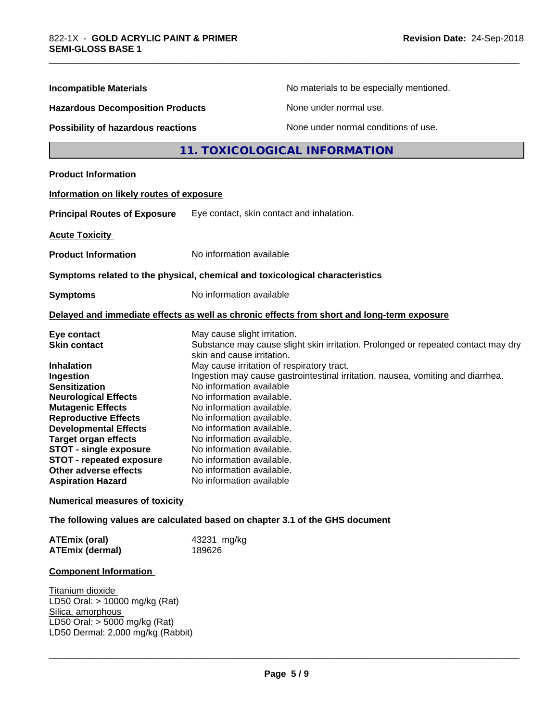| <b>Incompatible Materials</b>             | No materials to be especially mentioned.                                                                        |  |
|-------------------------------------------|-----------------------------------------------------------------------------------------------------------------|--|
| <b>Hazardous Decomposition Products</b>   | None under normal use.                                                                                          |  |
| <b>Possibility of hazardous reactions</b> | None under normal conditions of use.                                                                            |  |
|                                           | 11. TOXICOLOGICAL INFORMATION                                                                                   |  |
| <b>Product Information</b>                |                                                                                                                 |  |
| Information on likely routes of exposure  |                                                                                                                 |  |
| <b>Principal Routes of Exposure</b>       | Eye contact, skin contact and inhalation.                                                                       |  |
| <b>Acute Toxicity</b>                     |                                                                                                                 |  |
| <b>Product Information</b>                | No information available                                                                                        |  |
|                                           | Symptoms related to the physical, chemical and toxicological characteristics                                    |  |
| <b>Symptoms</b>                           | No information available                                                                                        |  |
|                                           | Delayed and immediate effects as well as chronic effects from short and long-term exposure                      |  |
| Eye contact                               | May cause slight irritation.                                                                                    |  |
| <b>Skin contact</b>                       | Substance may cause slight skin irritation. Prolonged or repeated contact may dry<br>skin and cause irritation. |  |
| <b>Inhalation</b>                         | May cause irritation of respiratory tract.                                                                      |  |
| Ingestion                                 | Ingestion may cause gastrointestinal irritation, nausea, vomiting and diarrhea.                                 |  |
| <b>Sensitization</b>                      | No information available                                                                                        |  |
| <b>Neurological Effects</b>               | No information available.                                                                                       |  |
| <b>Mutagenic Effects</b>                  | No information available.                                                                                       |  |
| <b>Reproductive Effects</b>               | No information available.                                                                                       |  |
| <b>Developmental Effects</b>              | No information available.                                                                                       |  |
| <b>Target organ effects</b>               | No information available.                                                                                       |  |
| <b>STOT - single exposure</b>             | No information available.                                                                                       |  |
| <b>STOT - repeated exposure</b>           | No information available.                                                                                       |  |
| Other adverse effects                     | No information available.                                                                                       |  |
| <b>Aspiration Hazard</b>                  | No information available                                                                                        |  |
| <b>Numerical measures of toxicity</b>     |                                                                                                                 |  |

\_\_\_\_\_\_\_\_\_\_\_\_\_\_\_\_\_\_\_\_\_\_\_\_\_\_\_\_\_\_\_\_\_\_\_\_\_\_\_\_\_\_\_\_\_\_\_\_\_\_\_\_\_\_\_\_\_\_\_\_\_\_\_\_\_\_\_\_\_\_\_\_\_\_\_\_\_\_\_\_\_\_\_\_\_\_\_\_\_\_\_\_\_

| <b>ATEmix (oral)</b>   | 43231 mg/kg |
|------------------------|-------------|
| <b>ATEmix (dermal)</b> | 189626      |

# **Component Information**

Titanium dioxide LD50 Oral: > 10000 mg/kg (Rat) Silica, amorphous LD50 Oral: > 5000 mg/kg (Rat) LD50 Dermal: 2,000 mg/kg (Rabbit)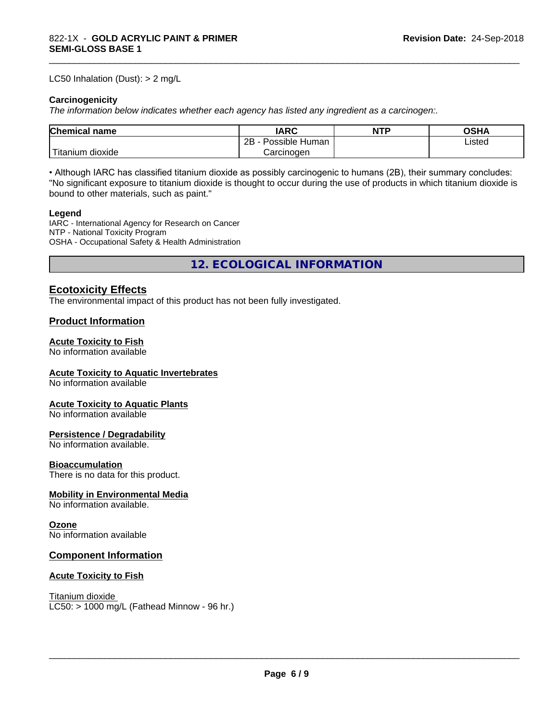#### LC50 Inhalation (Dust): > 2 mg/L

#### **Carcinogenicity**

*The information below indicateswhether each agency has listed any ingredient as a carcinogen:.*

| Chemical<br>`name      | <b>IARC</b>                  | <b>NTP</b> | <b>OSHA</b> |
|------------------------|------------------------------|------------|-------------|
|                        | .<br>2B<br>Human<br>Possible |            | ∟isted      |
| n dioxide<br>l itanıum | Carcinoɑen                   |            |             |

\_\_\_\_\_\_\_\_\_\_\_\_\_\_\_\_\_\_\_\_\_\_\_\_\_\_\_\_\_\_\_\_\_\_\_\_\_\_\_\_\_\_\_\_\_\_\_\_\_\_\_\_\_\_\_\_\_\_\_\_\_\_\_\_\_\_\_\_\_\_\_\_\_\_\_\_\_\_\_\_\_\_\_\_\_\_\_\_\_\_\_\_\_

• Although IARC has classified titanium dioxide as possibly carcinogenic to humans (2B), their summary concludes: "No significant exposure to titanium dioxide is thought to occur during the use of products in which titanium dioxide is bound to other materials, such as paint."

#### **Legend**

IARC - International Agency for Research on Cancer NTP - National Toxicity Program OSHA - Occupational Safety & Health Administration

**12. ECOLOGICAL INFORMATION**

## **Ecotoxicity Effects**

The environmental impact of this product has not been fully investigated.

### **Product Information**

#### **Acute Toxicity to Fish**

No information available

#### **Acute Toxicity to Aquatic Invertebrates**

No information available

#### **Acute Toxicity to Aquatic Plants**

No information available

#### **Persistence / Degradability**

No information available.

#### **Bioaccumulation**

There is no data for this product.

#### **Mobility in Environmental Media**

No information available.

#### **Ozone**

No information available

### **Component Information**

#### **Acute Toxicity to Fish**

Titanium dioxide  $LC50: > 1000$  mg/L (Fathead Minnow - 96 hr.)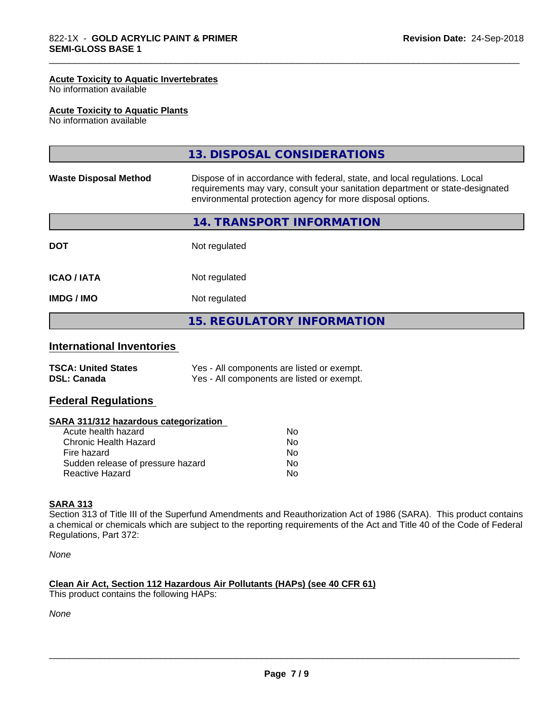#### **Acute Toxicity to Aquatic Invertebrates**

No information available

#### **Acute Toxicity to Aquatic Plants**

No information available

|                              | 13. DISPOSAL CONSIDERATIONS                                                                                                                                                                                               |
|------------------------------|---------------------------------------------------------------------------------------------------------------------------------------------------------------------------------------------------------------------------|
| <b>Waste Disposal Method</b> | Dispose of in accordance with federal, state, and local regulations. Local<br>requirements may vary, consult your sanitation department or state-designated<br>environmental protection agency for more disposal options. |
|                              | 14. TRANSPORT INFORMATION                                                                                                                                                                                                 |
| <b>DOT</b>                   | Not regulated                                                                                                                                                                                                             |
| <b>ICAO / IATA</b>           | Not regulated                                                                                                                                                                                                             |
| <b>IMDG/IMO</b>              | Not regulated                                                                                                                                                                                                             |
|                              | <b>15. REGULATORY INFORMATION</b>                                                                                                                                                                                         |

\_\_\_\_\_\_\_\_\_\_\_\_\_\_\_\_\_\_\_\_\_\_\_\_\_\_\_\_\_\_\_\_\_\_\_\_\_\_\_\_\_\_\_\_\_\_\_\_\_\_\_\_\_\_\_\_\_\_\_\_\_\_\_\_\_\_\_\_\_\_\_\_\_\_\_\_\_\_\_\_\_\_\_\_\_\_\_\_\_\_\_\_\_

# **International Inventories**

| <b>TSCA: United States</b> | Yes - All components are listed or exempt. |
|----------------------------|--------------------------------------------|
| <b>DSL: Canada</b>         | Yes - All components are listed or exempt. |

### **Federal Regulations**

#### **SARA 311/312 hazardous categorization**

| Acute health hazard               | Nο |  |
|-----------------------------------|----|--|
| Chronic Health Hazard             | N٥ |  |
| Fire hazard                       | Nο |  |
| Sudden release of pressure hazard | Nο |  |
| Reactive Hazard                   | Nο |  |

#### **SARA 313**

Section 313 of Title III of the Superfund Amendments and Reauthorization Act of 1986 (SARA). This product contains a chemical or chemicals which are subject to the reporting requirements of the Act and Title 40 of the Code of Federal Regulations, Part 372:

*None*

#### **Clean Air Act,Section 112 Hazardous Air Pollutants (HAPs) (see 40 CFR 61)**

This product contains the following HAPs:

*None*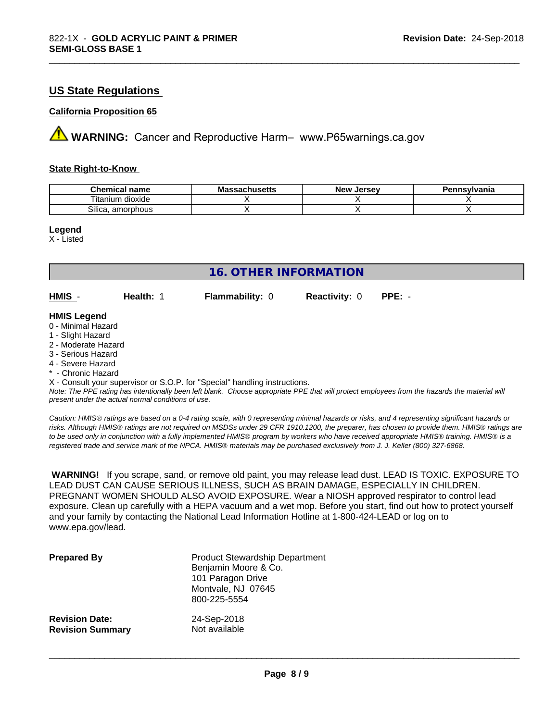# **US State Regulations**

### **California Proposition 65**

**AVIMARNING:** Cancer and Reproductive Harm– www.P65warnings.ca.gov

#### **State Right-to-Know**

| Chemical<br>name                              | - -<br>3081100 <b>11</b> 0<br>IVIA<br>aunuscus | <b>Jerse</b> v<br><b>Nev</b> | าnsvlvania |
|-----------------------------------------------|------------------------------------------------|------------------------------|------------|
| $-$<br>$\cdots$<br>dioxide<br>.um<br>. itanii |                                                |                              |            |
| Silica.<br>. amorphous                        |                                                |                              |            |

\_\_\_\_\_\_\_\_\_\_\_\_\_\_\_\_\_\_\_\_\_\_\_\_\_\_\_\_\_\_\_\_\_\_\_\_\_\_\_\_\_\_\_\_\_\_\_\_\_\_\_\_\_\_\_\_\_\_\_\_\_\_\_\_\_\_\_\_\_\_\_\_\_\_\_\_\_\_\_\_\_\_\_\_\_\_\_\_\_\_\_\_\_

**Legend**

X - Listed

| 16. OTHER INFORMATION                                                                                                                                                                                       |           |                                                                            |                      |                                                                                                                                               |
|-------------------------------------------------------------------------------------------------------------------------------------------------------------------------------------------------------------|-----------|----------------------------------------------------------------------------|----------------------|-----------------------------------------------------------------------------------------------------------------------------------------------|
| HMIS -                                                                                                                                                                                                      | Health: 1 | <b>Flammability: 0</b>                                                     | <b>Reactivity: 0</b> | $PPE: -$                                                                                                                                      |
| <b>HMIS Legend</b><br>0 - Minimal Hazard<br>1 - Slight Hazard<br>2 - Moderate Hazard<br>3 - Serious Hazard<br>4 - Severe Hazard<br>* - Chronic Hazard<br>present under the actual normal conditions of use. |           | X - Consult your supervisor or S.O.P. for "Special" handling instructions. |                      | Note: The PPE rating has intentionally been left blank. Choose appropriate PPE that will protect employees from the hazards the material will |

*Caution: HMISÒ ratings are based on a 0-4 rating scale, with 0 representing minimal hazards or risks, and 4 representing significant hazards or risks. Although HMISÒ ratings are not required on MSDSs under 29 CFR 1910.1200, the preparer, has chosen to provide them. HMISÒ ratings are to be used only in conjunction with a fully implemented HMISÒ program by workers who have received appropriate HMISÒ training. HMISÒ is a registered trade and service mark of the NPCA. HMISÒ materials may be purchased exclusively from J. J. Keller (800) 327-6868.*

 **WARNING!** If you scrape, sand, or remove old paint, you may release lead dust. LEAD IS TOXIC. EXPOSURE TO LEAD DUST CAN CAUSE SERIOUS ILLNESS, SUCH AS BRAIN DAMAGE, ESPECIALLY IN CHILDREN. PREGNANT WOMEN SHOULD ALSO AVOID EXPOSURE. Wear a NIOSH approved respirator to control lead exposure. Clean up carefully with a HEPA vacuum and a wet mop. Before you start, find out how to protect yourself and your family by contacting the National Lead Information Hotline at 1-800-424-LEAD or log on to www.epa.gov/lead.

| <b>Prepared By</b>      | <b>Product Stewardship Department</b><br>Benjamin Moore & Co.<br>101 Paragon Drive<br>Montvale, NJ 07645<br>800-225-5554 |
|-------------------------|--------------------------------------------------------------------------------------------------------------------------|
| <b>Revision Date:</b>   | 24-Sep-2018                                                                                                              |
| <b>Revision Summary</b> | Not available                                                                                                            |